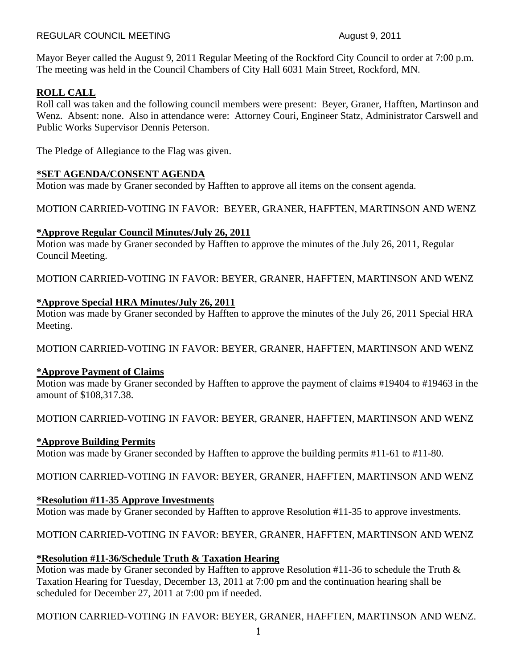#### REGULAR COUNCIL MEETING August 9, 2011

Mayor Beyer called the August 9, 2011 Regular Meeting of the Rockford City Council to order at 7:00 p.m. The meeting was held in the Council Chambers of City Hall 6031 Main Street, Rockford, MN.

## **ROLL CALL**

Roll call was taken and the following council members were present: Beyer, Graner, Hafften, Martinson and Wenz. Absent: none. Also in attendance were: Attorney Couri, Engineer Statz, Administrator Carswell and Public Works Supervisor Dennis Peterson.

The Pledge of Allegiance to the Flag was given.

### **\*SET AGENDA/CONSENT AGENDA**

Motion was made by Graner seconded by Hafften to approve all items on the consent agenda.

### MOTION CARRIED-VOTING IN FAVOR: BEYER, GRANER, HAFFTEN, MARTINSON AND WENZ

### **\*Approve Regular Council Minutes/July 26, 2011**

Motion was made by Graner seconded by Hafften to approve the minutes of the July 26, 2011, Regular Council Meeting.

MOTION CARRIED-VOTING IN FAVOR: BEYER, GRANER, HAFFTEN, MARTINSON AND WENZ

### **\*Approve Special HRA Minutes/July 26, 2011**

Motion was made by Graner seconded by Hafften to approve the minutes of the July 26, 2011 Special HRA Meeting.

MOTION CARRIED-VOTING IN FAVOR: BEYER, GRANER, HAFFTEN, MARTINSON AND WENZ

#### **\*Approve Payment of Claims**

Motion was made by Graner seconded by Hafften to approve the payment of claims #19404 to #19463 in the amount of \$108,317.38.

MOTION CARRIED-VOTING IN FAVOR: BEYER, GRANER, HAFFTEN, MARTINSON AND WENZ

### **\*Approve Building Permits**

Motion was made by Graner seconded by Hafften to approve the building permits #11-61 to #11-80.

MOTION CARRIED-VOTING IN FAVOR: BEYER, GRANER, HAFFTEN, MARTINSON AND WENZ

### **\*Resolution #11-35 Approve Investments**

Motion was made by Graner seconded by Hafften to approve Resolution #11-35 to approve investments.

### MOTION CARRIED-VOTING IN FAVOR: BEYER, GRANER, HAFFTEN, MARTINSON AND WENZ

### **\*Resolution #11-36/Schedule Truth & Taxation Hearing**

Motion was made by Graner seconded by Hafften to approve Resolution #11-36 to schedule the Truth & Taxation Hearing for Tuesday, December 13, 2011 at 7:00 pm and the continuation hearing shall be scheduled for December 27, 2011 at 7:00 pm if needed.

MOTION CARRIED-VOTING IN FAVOR: BEYER, GRANER, HAFFTEN, MARTINSON AND WENZ.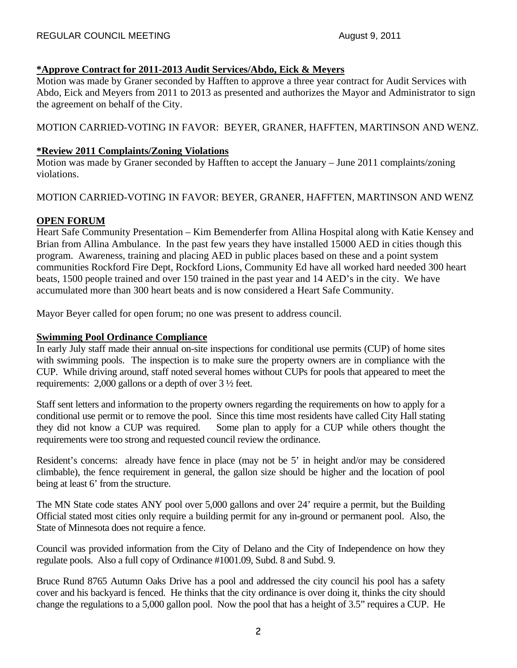### **\*Approve Contract for 2011-2013 Audit Services/Abdo, Eick & Meyers**

Motion was made by Graner seconded by Hafften to approve a three year contract for Audit Services with Abdo, Eick and Meyers from 2011 to 2013 as presented and authorizes the Mayor and Administrator to sign the agreement on behalf of the City.

### MOTION CARRIED-VOTING IN FAVOR: BEYER, GRANER, HAFFTEN, MARTINSON AND WENZ.

#### **\*Review 2011 Complaints/Zoning Violations**

Motion was made by Graner seconded by Hafften to accept the January – June 2011 complaints/zoning violations.

### MOTION CARRIED-VOTING IN FAVOR: BEYER, GRANER, HAFFTEN, MARTINSON AND WENZ

### **OPEN FORUM**

Heart Safe Community Presentation – Kim Bemenderfer from Allina Hospital along with Katie Kensey and Brian from Allina Ambulance. In the past few years they have installed 15000 AED in cities though this program. Awareness, training and placing AED in public places based on these and a point system communities Rockford Fire Dept, Rockford Lions, Community Ed have all worked hard needed 300 heart beats, 1500 people trained and over 150 trained in the past year and 14 AED's in the city. We have accumulated more than 300 heart beats and is now considered a Heart Safe Community.

Mayor Beyer called for open forum; no one was present to address council.

### **Swimming Pool Ordinance Compliance**

In early July staff made their annual on-site inspections for conditional use permits (CUP) of home sites with swimming pools. The inspection is to make sure the property owners are in compliance with the CUP. While driving around, staff noted several homes without CUPs for pools that appeared to meet the requirements: 2,000 gallons or a depth of over 3 ½ feet.

Staff sent letters and information to the property owners regarding the requirements on how to apply for a conditional use permit or to remove the pool. Since this time most residents have called City Hall stating they did not know a CUP was required. Some plan to apply for a CUP while others thought the requirements were too strong and requested council review the ordinance.

Resident's concerns: already have fence in place (may not be 5' in height and/or may be considered climbable), the fence requirement in general, the gallon size should be higher and the location of pool being at least 6' from the structure.

The MN State code states ANY pool over 5,000 gallons and over 24' require a permit, but the Building Official stated most cities only require a building permit for any in-ground or permanent pool. Also, the State of Minnesota does not require a fence.

Council was provided information from the City of Delano and the City of Independence on how they regulate pools. Also a full copy of Ordinance #1001.09, Subd. 8 and Subd. 9.

Bruce Rund 8765 Autumn Oaks Drive has a pool and addressed the city council his pool has a safety cover and his backyard is fenced. He thinks that the city ordinance is over doing it, thinks the city should change the regulations to a 5,000 gallon pool. Now the pool that has a height of 3.5" requires a CUP. He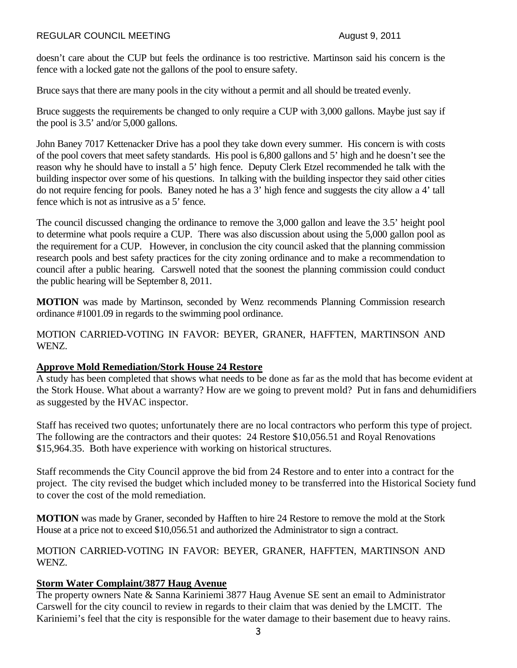#### REGULAR COUNCIL MEETING August 9, 2011

doesn't care about the CUP but feels the ordinance is too restrictive. Martinson said his concern is the fence with a locked gate not the gallons of the pool to ensure safety.

Bruce says that there are many pools in the city without a permit and all should be treated evenly.

Bruce suggests the requirements be changed to only require a CUP with 3,000 gallons. Maybe just say if the pool is 3.5' and/or 5,000 gallons.

John Baney 7017 Kettenacker Drive has a pool they take down every summer. His concern is with costs of the pool covers that meet safety standards. His pool is 6,800 gallons and 5' high and he doesn't see the reason why he should have to install a 5' high fence. Deputy Clerk Etzel recommended he talk with the building inspector over some of his questions. In talking with the building inspector they said other cities do not require fencing for pools. Baney noted he has a 3' high fence and suggests the city allow a 4' tall fence which is not as intrusive as a 5' fence.

The council discussed changing the ordinance to remove the 3,000 gallon and leave the 3.5' height pool to determine what pools require a CUP. There was also discussion about using the 5,000 gallon pool as the requirement for a CUP. However, in conclusion the city council asked that the planning commission research pools and best safety practices for the city zoning ordinance and to make a recommendation to council after a public hearing. Carswell noted that the soonest the planning commission could conduct the public hearing will be September 8, 2011.

**MOTION** was made by Martinson, seconded by Wenz recommends Planning Commission research ordinance #1001.09 in regards to the swimming pool ordinance.

MOTION CARRIED-VOTING IN FAVOR: BEYER, GRANER, HAFFTEN, MARTINSON AND WENZ.

#### **Approve Mold Remediation/Stork House 24 Restore**

A study has been completed that shows what needs to be done as far as the mold that has become evident at the Stork House. What about a warranty? How are we going to prevent mold? Put in fans and dehumidifiers as suggested by the HVAC inspector.

Staff has received two quotes; unfortunately there are no local contractors who perform this type of project. The following are the contractors and their quotes: 24 Restore \$10,056.51 and Royal Renovations \$15,964.35. Both have experience with working on historical structures.

Staff recommends the City Council approve the bid from 24 Restore and to enter into a contract for the project. The city revised the budget which included money to be transferred into the Historical Society fund to cover the cost of the mold remediation.

**MOTION** was made by Graner, seconded by Hafften to hire 24 Restore to remove the mold at the Stork House at a price not to exceed \$10,056.51 and authorized the Administrator to sign a contract.

MOTION CARRIED-VOTING IN FAVOR: BEYER, GRANER, HAFFTEN, MARTINSON AND WENZ.

### **Storm Water Complaint/3877 Haug Avenue**

The property owners Nate & Sanna Kariniemi 3877 Haug Avenue SE sent an email to Administrator Carswell for the city council to review in regards to their claim that was denied by the LMCIT. The Kariniemi's feel that the city is responsible for the water damage to their basement due to heavy rains.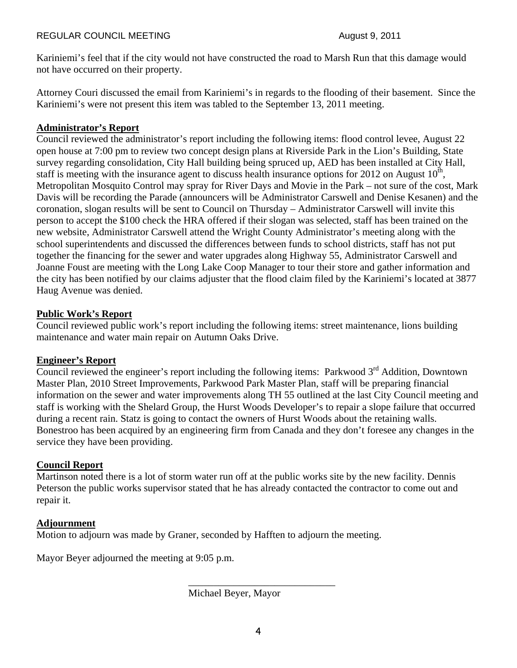Kariniemi's feel that if the city would not have constructed the road to Marsh Run that this damage would not have occurred on their property.

Attorney Couri discussed the email from Kariniemi's in regards to the flooding of their basement. Since the Kariniemi's were not present this item was tabled to the September 13, 2011 meeting.

## **Administrator's Report**

Council reviewed the administrator's report including the following items: flood control levee, August 22 open house at 7:00 pm to review two concept design plans at Riverside Park in the Lion's Building, State survey regarding consolidation, City Hall building being spruced up, AED has been installed at City Hall, staff is meeting with the insurance agent to discuss health insurance options for 2012 on August  $10<sup>th</sup>$ , Metropolitan Mosquito Control may spray for River Days and Movie in the Park – not sure of the cost, Mark Davis will be recording the Parade (announcers will be Administrator Carswell and Denise Kesanen) and the coronation, slogan results will be sent to Council on Thursday – Administrator Carswell will invite this person to accept the \$100 check the HRA offered if their slogan was selected, staff has been trained on the new website, Administrator Carswell attend the Wright County Administrator's meeting along with the school superintendents and discussed the differences between funds to school districts, staff has not put together the financing for the sewer and water upgrades along Highway 55, Administrator Carswell and Joanne Foust are meeting with the Long Lake Coop Manager to tour their store and gather information and the city has been notified by our claims adjuster that the flood claim filed by the Kariniemi's located at 3877 Haug Avenue was denied.

## **Public Work's Report**

Council reviewed public work's report including the following items: street maintenance, lions building maintenance and water main repair on Autumn Oaks Drive.

### **Engineer's Report**

Council reviewed the engineer's report including the following items: Parkwood  $3<sup>rd</sup>$  Addition, Downtown Master Plan, 2010 Street Improvements, Parkwood Park Master Plan, staff will be preparing financial information on the sewer and water improvements along TH 55 outlined at the last City Council meeting and staff is working with the Shelard Group, the Hurst Woods Developer's to repair a slope failure that occurred during a recent rain. Statz is going to contact the owners of Hurst Woods about the retaining walls. Bonestroo has been acquired by an engineering firm from Canada and they don't foresee any changes in the service they have been providing.

# **Council Report**

Martinson noted there is a lot of storm water run off at the public works site by the new facility. Dennis Peterson the public works supervisor stated that he has already contacted the contractor to come out and repair it.

### **Adjournment**

Motion to adjourn was made by Graner, seconded by Hafften to adjourn the meeting.

 $\frac{1}{2}$  , and the set of the set of the set of the set of the set of the set of the set of the set of the set of the set of the set of the set of the set of the set of the set of the set of the set of the set of the set

Mayor Beyer adjourned the meeting at 9:05 p.m.

Michael Beyer, Mayor